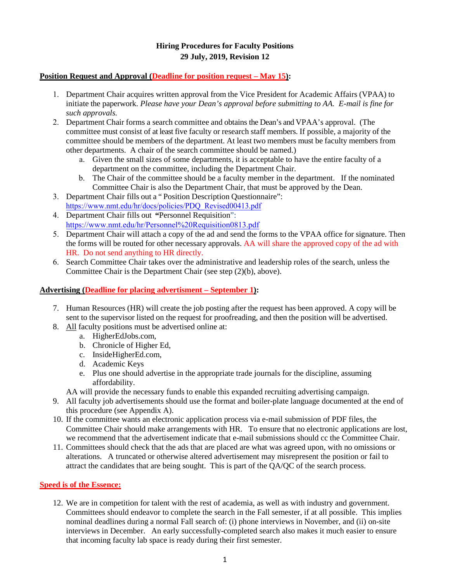# **Hiring Procedures for Faculty Positions 29 July, 2019, Revision 12**

#### **Position Request and Approval (Deadline for position request – May 15):**

- 1. Department Chair acquires written approval from the Vice President for Academic Affairs (VPAA) to initiate the paperwork. *[Please have your Dean's approval before submitting to AA.](http://www.nmt.edu/images/stories/hr/Personnel_Requisition0813.pdf%20Please%20have%20your%20Dean%27s%20approval%20before%20submitting%20to%20AA) E-mail is fine for such approvals.*
- 2. Department Chair forms a search committee and obtains the Dean's and VPAA's approval. (The committee must consist of at least five faculty or research staff members. If possible, a majority of the committee should be members of the department. At least two members must be faculty members from other departments. A chair of the search committee should be named.)
	- a. Given the small sizes of some departments, it is acceptable to have the entire faculty of a department on the committee, including the Department Chair.
	- b. The Chair of the committee should be a faculty member in the department. If the nominated Committee Chair is also the Department Chair, that must be approved by the Dean.
- 3. Department Chair fills out a [" Position Description Questionnaire":](http://www.nmt.edu/images/stories/hr/PDQ_Revised00413.pdf) [https://www.nmt.edu/hr/docs/policies/PDQ\\_Revised00413.pdf](http://www.nmt.edu/images/stories/hr/PDQ_Revised00413.pdf)
- 4. Department Chair fills out **"**[Personnel Requisition"](http://www.nmt.edu/images/stories/hr/Personnel_Requisition0813.pdf): [https://www.nmt.edu/hr/Personnel%20Requisition0813.pdf](http://www.nmt.edu/images/stories/hr/Personnel_Requisition0813.pdf)
- 5. Department Chair will attach a copy of the ad and send the forms to the VPAA office for signature. Then the forms will be routed for other necessary approvals. AA will share the approved copy of the ad with HR. Do not send anything to HR directly.
- 6. Search Committee Chair takes over the administrative and leadership roles of the search, unless the Committee Chair is the Department Chair (see step (2)(b), above).

### **Advertising (Deadline for placing advertisment – September 1):**

- 7. Human Resources (HR) will create the job posting after the request has been approved. A copy will be sent to the supervisor listed on the request for proofreading, and then the position will be advertised.
- 8. All faculty positions must be advertised online at:
	- a. HigherEdJobs.com,
		- b. Chronicle of Higher Ed,
		- c. InsideHigherEd.com,
		- d. Academic Keys
		- e. Plus one should advertise in the appropriate trade journals for the discipline, assuming affordability.

AA will provide the necessary funds to enable this expanded recruiting advertising campaign.

- 9. All faculty job advertisements should use the format and boiler-plate language documented at the end of this procedure (see Appendix A).
- 10. If the committee wants an electronic application process via e-mail submission of PDF files, the Committee Chair should make arrangements with HR. To ensure that no electronic applications are lost, we recommend that the advertisement indicate that e-mail submissions should cc the Committee Chair.
- 11. Committees should check that the ads that are placed are what was agreed upon, with no omissions or alterations. A truncated or otherwise altered advertisement may misrepresent the position or fail to attract the candidates that are being sought. This is part of the QA/QC of the search process.

#### **Speed is of the Essence:**

12. We are in competition for talent with the rest of academia, as well as with industry and government. Committees should endeavor to complete the search in the Fall semester, if at all possible. This implies nominal deadlines during a normal Fall search of: (i) phone interviews in November, and (ii) on-site interviews in December. An early successfully-completed search also makes it much easier to ensure that incoming faculty lab space is ready during their first semester.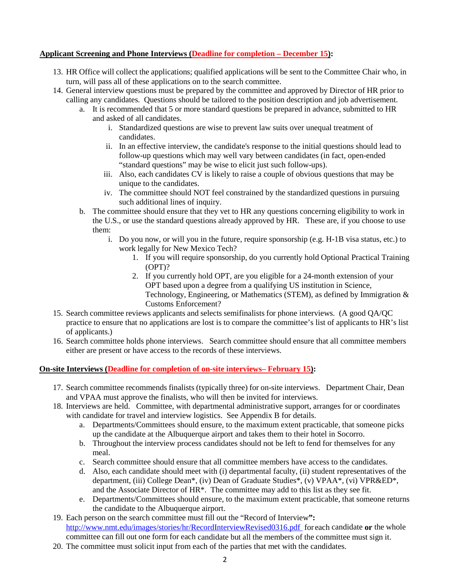### **Applicant Screening and Phone Interviews (Deadline for completion – December 15):**

- 13. HR Office will collect the applications; qualified applications will be sent to the Committee Chair who, in turn, will pass all of these applications on to the search committee.
- 14. General interview questions must be prepared by the committee and approved by Director of HR prior to calling any candidates. Questions should be tailored to the position description and job advertisement.
	- a. It is recommended that 5 or more standard questions be prepared in advance, submitted to HR and asked of all candidates.
		- i. Standardized questions are wise to prevent law suits over unequal treatment of candidates.
		- ii. In an effective interview, the candidate's response to the initial questions should lead to follow-up questions which may well vary between candidates (in fact, open-ended "standard questions" may be wise to elicit just such follow-ups).
		- iii. Also, each candidates CV is likely to raise a couple of obvious questions that may be unique to the candidates.
		- iv. The committee should NOT feel constrained by the standardized questions in pursuing such additional lines of inquiry.
	- b. The committee should ensure that they vet to HR any questions concerning eligibility to work in the U.S., or use the standard questions already approved by HR. These are, if you choose to use them:
		- i. Do you now, or will you in the future, require sponsorship (e.g. H-1B visa status, etc.) to work legally for New Mexico Tech?
			- 1. If you will require sponsorship, do you currently hold Optional Practical Training (OPT)?
			- 2. If you currently hold OPT, are you eligible for a 24-month extension of your OPT based upon a degree from a qualifying US institution in Science, Technology, Engineering, or Mathematics (STEM), as defined by Immigration & Customs Enforcement?
- 15. Search committee reviews applicants and selects semifinalists for phone interviews. (A good QA/QC practice to ensure that no applications are lost is to compare the committee's list of applicants to HR's list of applicants.)
- 16. Search committee holds phone interviews. Search committee should ensure that all committee members either are present or have access to the records of these interviews.

### **On-site Interviews (Deadline for completion of on-site interviews– February 15):**

- 17. Search committee recommends finalists (typically three) for on-site interviews. Department Chair, Dean and VPAA must approve the finalists, who will then be invited for interviews.
- 18. Interviews are held. Committee, with departmental administrative support, arranges for or coordinates with candidate for travel and interview logistics. See Appendix B for details.
	- a. Departments/Committees should ensure, to the maximum extent practicable, that someone picks up the candidate at the Albuquerque airport and takes them to their hotel in Socorro.
	- b. Throughout the interview process candidates should not be left to fend for themselves for any meal.
	- c. Search committee should ensure that all committee members have access to the candidates.
	- d. Also, each candidate should meet with (i) departmental faculty, (ii) student representatives of the department, (iii) College Dean\*, (iv) Dean of Graduate Studies\*, (v) VPAA\*, (vi) VPR&ED\*, and the Associate Director of HR\*. The committee may add to this list as they see fit.
	- e. Departments/Committees should ensure, to the maximum extent practicable, that someone returns the candidate to the Albuquerque airport.
- 19. Each person on the search committee must fill out the "Record of Interview**":** <http://www.nmt.edu/images/stories/hr/RecordInterviewRevised0316.pdf>for each candidate **or** the whole committee can fill out one form for each candidate but all the members of the committee must sign it.
- 20. The committee must solicit input from each of the parties that met with the candidates.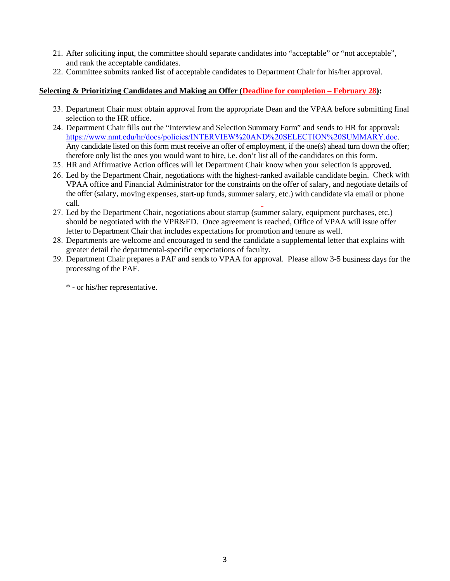- 21. After soliciting input, the committee should separate candidates into "acceptable" or "not acceptable", and rank the acceptable candidates.
- 22. Committee submits ranked list of acceptable candidates to Department Chair for his/her approval.

## **Selecting & Prioritizing Candidates and Making an Offer (Deadline for completion – February 28):**

- 23. Department Chair must obtain approval from the appropriate Dean and the VPAA before submitting final selection to the HR office.
- 24. Department Chair fills out the "Interview and Selection Summary Form" and sends to HR for approval**:** [https://www.nmt.edu/hr/docs/policies/INTERVIEW%20AND%20SELECTION%20SUMMARY.do](http://www.nmt.edu/images/stories/hr/Interview_and_Selecton_Summary_Form_Revised_0413.pdf)c. Any candidate listed on this form must receive an offer of employment, if the one(s) ahead turn down the offer; therefore only list the ones you would want to hire, i.e. don't list all of the candidates on this form.
- 25. HR and Affirmative Action offices will let Department Chair know when your selection is approved.
- 26. Led by the Department Chair, negotiations with the highest-ranked available candidate begin. Check with VPAA office and Financial Administrator for the constraints on the offer of salary, and negotiate details of the offer (salary, moving expenses, start-up funds, summer salary, etc.) with candidate via email or phone call.
- 27. Led by the Department Chair, negotiations about startup (summer salary, equipment purchases, etc.) should be negotiated with the VPR&ED. Once agreement is reached, Office of VPAA will issue offer letter to Department Chair that includes expectations for promotion and tenure as well.
- 28. Departments are welcome and encouraged to send the candidate a supplemental letter that explains with greater detail the departmental-specific expectations of faculty.
- 29. Department Chair prepares a PAF and sends to VPAA for approval. Please allow 3-5 business days for the processing of the PAF.

\* - or his/her representative.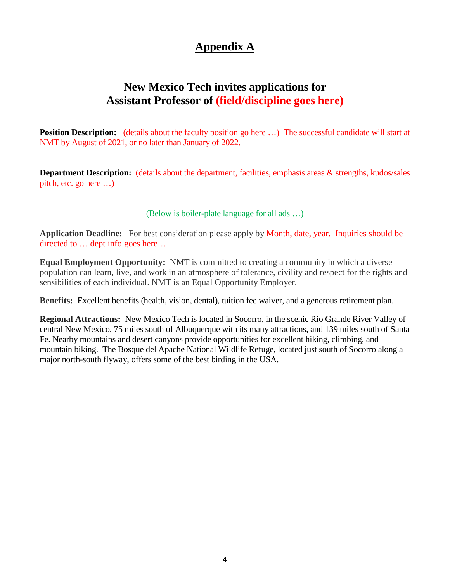# **Appendix A**

# **New Mexico Tech invites applications for Assistant Professor of (field/discipline goes here)**

**Position Description:** (details about the faculty position go here ...) The successful candidate will start at NMT by August of 2021, or no later than January of 2022.

**Department Description:** (details about the department, facilities, emphasis areas & strengths, kudos/sales pitch, etc. go here …)

(Below is boiler-plate language for all ads …)

**Application Deadline:** For best consideration please apply by Month, date, year. Inquiries should be directed to … dept info goes here…

**Equal Employment Opportunity:** NMT is committed to creating a community in which a diverse population can learn, live, and work in an atmosphere of tolerance, civility and respect for the rights and sensibilities of each individual. NMT is an Equal Opportunity Employer.

**Benefits:** Excellent benefits (health, vision, dental), tuition fee waiver, and a generous retirement plan.

**Regional Attractions:** New Mexico Tech is located in Socorro, in the scenic Rio Grande River Valley of central New Mexico, 75 miles south of Albuquerque with its many attractions, and 139 miles south of Santa Fe. Nearby mountains and desert canyons provide opportunities for excellent hiking, climbing, and mountain biking. The Bosque del Apache National Wildlife Refuge, located just south of Socorro along a major north-south flyway, offers some of the best birding in the USA.